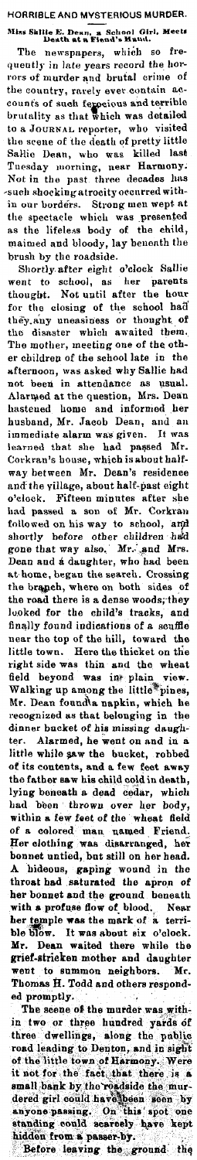HORRIBLE AND MYSTERIOUS MURDER. Miss Skllie E. Dean, a School Girl, Meet, Death at a Fiend's Hand.

The newspnpers, which so frequently in late years record the horrors of murder and brutal crime of the country, rarely ever contain accounfs of such **fejOei,ms a.nd** t<>rrible brutality as that which was detailed to a JOURNAL reporter, who visited the scene of the death of pretty little Sallie Dean, who was killed last Tuesday morning, near Harmony; Not in the past three decades has -such shoeking atrocity oecurred within our borders. Strong men wept at the spectacle which was presented as the lifeless body of the child, maimed and bloody, lay benenth the brush by tho roadside.

Shortly. after eight o'clock Sallie went to school, as her parents thought. Not until after the hour for the closing of the school had they.any uneasiness or thought of the disaster which awaited them. The mother, meeting one of the other children of the school late in the afternoon, was asked why Sallie bad not been in attendance as usual. Alarmed at the question, Mrs. Dean hastened home and informed her husband, Mr. Jacob Dean, and an immediate alarm was given. It was learned that she had passed Mr. Corkran's bouse, which is about halfway between Mr. Dean's residence 1md'the village, about half-past eight o'clock. Fifteen minutes after she had passed a son of Mr. Corkran<br>followed on his way to school, and<br>shortly before other children had gone that way also. Mr. and Mrs.<br>Dean and a daughter, who had been at home, began the search. Crossing the brapch, where on both sides of the road there is a dense woods; they lo.oked for the child's tracks, and finally found indications of a scuffle<br>near the top of the hill, toward the little town. Here the thicket on the right side was thin and the wheat field beyond was inteplain view. Walking up among the little\*pines, Mr. Dean found\a napkin, whieh he recognized as that belonging in the dinner bucket of his missing daughter. Alarmed, he went on and in a little while saw the bucket, robbed of its contents, and a few feet away the father saw his child cold in death, lying beneath a dead cedar, which had been thrown over her body, within **a** few feet of die wheat field of a colored man named Friend. Her clothing was disarranged, her bonnet untied, bot still on her bead. A hideous, **gaping** wound in the throat had saturated the apron of her bonnet and the ground beneath with a profuse flow of blood. Near her temple was the mark of a terrible blow. It was about six o'clock. Mr. Dean waited there while the grief-stricken mother and daughter went to summon neighbors. Mr.<br>Thomas H. Todd and others responded promptly.

The scene of the murder was within two or three hundred yards of three dwellings, along the public road leading to Denton, and in sight<br>of the little town of Harmony. Were<br>it not for the fact that there is a small,bank by the readside the mur-<br>dered girl could have been seen by anyone passing. On this spot one standing could scarcely have kept<br>hidden from a passer-by. Before leaving the ground the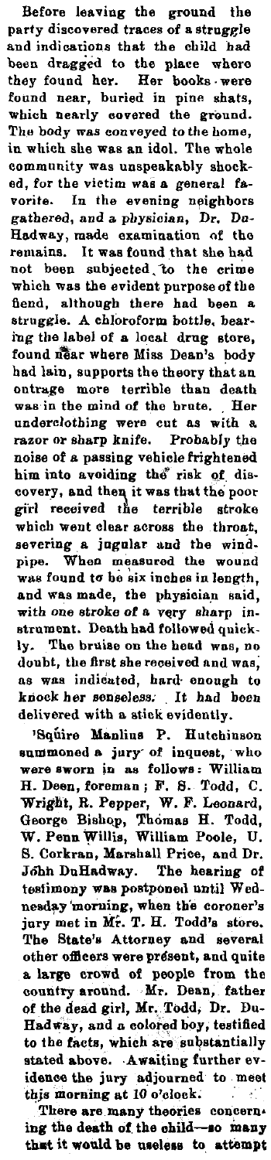Before leaving the ground the party discovered traces of a struggle and indications that the child had been dragged to the place where they found her. Her books. were fonnd near, buried in pine shats, which nearly covered the ground. The body was eon veyed to the home, in which she was an idol. The whole eommunity was unspeakably shocked, for the victim was a general favorite. In the evening neighbors gathered, and a physician, Dr. Dn-Hadway, made examination of the remains. It was found that she had not been subjected, lo the crime which was the evident purpose of the fiend, although there had been a. struggle. A chloroform bottle, bearing the label of a local drug store, found near where Miss Dean's body had lain, supports the theory that an ontrage more terrible than death was in the mind of the brute. Her underclothing were cut as with a razor or sharp knife. Probably the noise of a passing vehicle frightened him into avoiding the risk of discovery, and then it was that the poor girl received the terrible stroke which went clear across the throat, severing a jugular and the windpipe. When measured the wound was found to be six inches in length, and was made, the physician said, with one stroke of a very sharp instrument. Death bad followed quickly. The bruise on the head was, no doubt, the first she received and was; us was indicuted, hard· enough to knock her senseless. It had been delivered with a stick evidently.

•Squire **Manlius** P. Hutchinson summoned a jury of inquest, who were sworn in as follows: William H. Deen, foreman; F. 8. Todd, C. Wright, R. Pepper, W. F. Leonard, George Bishop, Thomas H. Todd, W. Penn Willis, William Poole, U. B. Corkran, Marshall Price, and Dr. John DuHadway. The hearing of testimony was postponed until Wednesday 'morning, when th'e coroner's jury met in Mr. T. H. Todd's store. The State's Attorney and several other officers were present, and quite a large crowd of people from the country around. Mr. Dean, father of the dead girl, Mr. Todd, Dr. Du-Hadway, and a colored boy, testified to the facts, which are substantially stated above. Awaiting further evidenee the jury adjourned to meet this morning at 10 o'clock. ÷.

There are many theories concern. ing the death of the child-so many that it would be useless to attempt